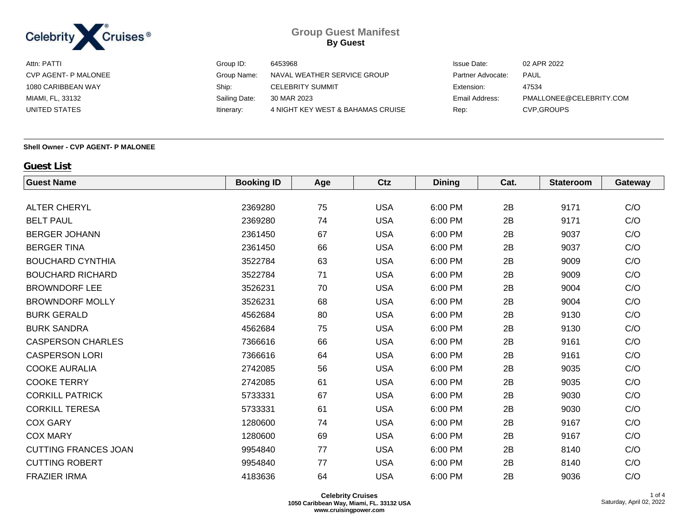

| Attn: PATTI          | Group ID:     | 6453968                           | <b>Issue Date:</b> | 02 APR 2022             |
|----------------------|---------------|-----------------------------------|--------------------|-------------------------|
| CVP AGENT- P MALONEE | Group Name:   | NAVAL WEATHER SERVICE GROUP       | Partner Advocate:  | <b>PAUL</b>             |
| 1080 CARIBBEAN WAY   | Ship:         | <b>CELEBRITY SUMMIT</b>           | Extension:         | 47534                   |
| MIAMI, FL, 33132     | Sailing Date: | 30 MAR 2023                       | Email Address:     | PMALLONEE@CELEBRITY.COM |
| UNITED STATES        | Itinerary:    | 4 NIGHT KEY WEST & BAHAMAS CRUISE | Rep:               | <b>CVP.GROUPS</b>       |
|                      |               |                                   |                    |                         |

#### **Shell Owner - CVP AGENT- P MALONEE**

## **Guest List**

| <b>Guest Name</b>           | <b>Booking ID</b> | Age | Ctz        | <b>Dining</b> | Cat. | <b>Stateroom</b> | Gateway |
|-----------------------------|-------------------|-----|------------|---------------|------|------------------|---------|
|                             |                   |     |            |               |      |                  |         |
| <b>ALTER CHERYL</b>         | 2369280           | 75  | <b>USA</b> | 6:00 PM       | 2B   | 9171             | C/O     |
| <b>BELT PAUL</b>            | 2369280           | 74  | <b>USA</b> | 6:00 PM       | 2B   | 9171             | C/O     |
| <b>BERGER JOHANN</b>        | 2361450           | 67  | <b>USA</b> | 6:00 PM       | 2B   | 9037             | C/O     |
| <b>BERGER TINA</b>          | 2361450           | 66  | <b>USA</b> | 6:00 PM       | 2B   | 9037             | C/O     |
| <b>BOUCHARD CYNTHIA</b>     | 3522784           | 63  | <b>USA</b> | 6:00 PM       | 2B   | 9009             | C/O     |
| <b>BOUCHARD RICHARD</b>     | 3522784           | 71  | <b>USA</b> | 6:00 PM       | 2B   | 9009             | C/O     |
| <b>BROWNDORF LEE</b>        | 3526231           | 70  | <b>USA</b> | 6:00 PM       | 2B   | 9004             | C/O     |
| <b>BROWNDORF MOLLY</b>      | 3526231           | 68  | <b>USA</b> | 6:00 PM       | 2B   | 9004             | C/O     |
| <b>BURK GERALD</b>          | 4562684           | 80  | <b>USA</b> | 6:00 PM       | 2B   | 9130             | C/O     |
| <b>BURK SANDRA</b>          | 4562684           | 75  | <b>USA</b> | 6:00 PM       | 2B   | 9130             | C/O     |
| <b>CASPERSON CHARLES</b>    | 7366616           | 66  | <b>USA</b> | 6:00 PM       | 2B   | 9161             | C/O     |
| <b>CASPERSON LORI</b>       | 7366616           | 64  | <b>USA</b> | 6:00 PM       | 2B   | 9161             | C/O     |
| <b>COOKE AURALIA</b>        | 2742085           | 56  | <b>USA</b> | 6:00 PM       | 2B   | 9035             | C/O     |
| <b>COOKE TERRY</b>          | 2742085           | 61  | <b>USA</b> | 6:00 PM       | 2B   | 9035             | C/O     |
| <b>CORKILL PATRICK</b>      | 5733331           | 67  | <b>USA</b> | 6:00 PM       | 2B   | 9030             | C/O     |
| <b>CORKILL TERESA</b>       | 5733331           | 61  | <b>USA</b> | 6:00 PM       | 2B   | 9030             | C/O     |
| <b>COX GARY</b>             | 1280600           | 74  | <b>USA</b> | 6:00 PM       | 2B   | 9167             | C/O     |
| <b>COX MARY</b>             | 1280600           | 69  | <b>USA</b> | 6:00 PM       | 2B   | 9167             | C/O     |
| <b>CUTTING FRANCES JOAN</b> | 9954840           | 77  | <b>USA</b> | 6:00 PM       | 2B   | 8140             | C/O     |
| <b>CUTTING ROBERT</b>       | 9954840           | 77  | <b>USA</b> | 6:00 PM       | 2B   | 8140             | C/O     |
| <b>FRAZIER IRMA</b>         | 4183636           | 64  | <b>USA</b> | 6:00 PM       | 2B   | 9036             | C/O     |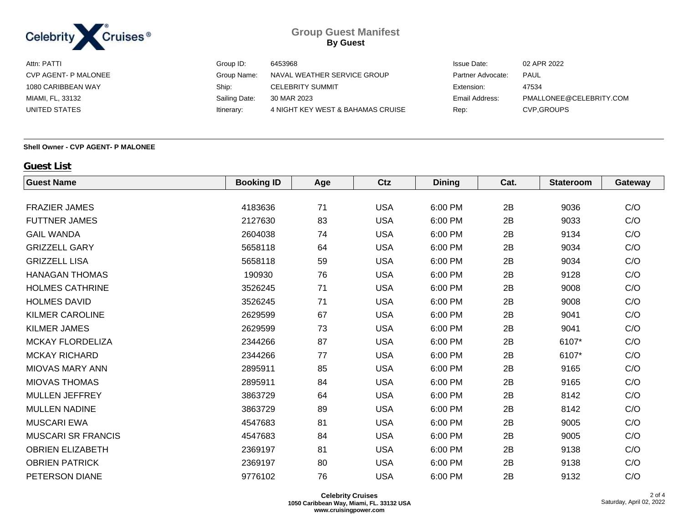

| Attn: PATTI          | Group ID:     | 6453968                           | <b>Issue Date:</b> | 02 APR 2022             |
|----------------------|---------------|-----------------------------------|--------------------|-------------------------|
| CVP AGENT- P MALONEE | Group Name:   | NAVAL WEATHER SERVICE GROUP       | Partner Advocate:  | <b>PAUL</b>             |
| 1080 CARIBBEAN WAY   | Ship:         | <b>CELEBRITY SUMMIT</b>           | Extension:         | 47534                   |
| MIAMI, FL, 33132     | Sailing Date: | 30 MAR 2023                       | Email Address:     | PMALLONEE@CELEBRITY.COM |
| UNITED STATES        | Itinerary:    | 4 NIGHT KEY WEST & BAHAMAS CRUISE | Rep:               | <b>CVP.GROUPS</b>       |
|                      |               |                                   |                    |                         |

#### **Shell Owner - CVP AGENT- P MALONEE**

## **Guest List**

| <b>Guest Name</b>         | <b>Booking ID</b> | Age | Ctz        | <b>Dining</b> | Cat. | <b>Stateroom</b> | Gateway |
|---------------------------|-------------------|-----|------------|---------------|------|------------------|---------|
|                           |                   |     |            |               |      |                  |         |
| <b>FRAZIER JAMES</b>      | 4183636           | 71  | <b>USA</b> | 6:00 PM       | 2B   | 9036             | C/O     |
| <b>FUTTNER JAMES</b>      | 2127630           | 83  | <b>USA</b> | 6:00 PM       | 2B   | 9033             | C/O     |
| <b>GAIL WANDA</b>         | 2604038           | 74  | <b>USA</b> | 6:00 PM       | 2B   | 9134             | C/O     |
| <b>GRIZZELL GARY</b>      | 5658118           | 64  | <b>USA</b> | 6:00 PM       | 2B   | 9034             | C/O     |
| <b>GRIZZELL LISA</b>      | 5658118           | 59  | <b>USA</b> | 6:00 PM       | 2B   | 9034             | C/O     |
| <b>HANAGAN THOMAS</b>     | 190930            | 76  | <b>USA</b> | 6:00 PM       | 2B   | 9128             | C/O     |
| <b>HOLMES CATHRINE</b>    | 3526245           | 71  | <b>USA</b> | 6:00 PM       | 2B   | 9008             | C/O     |
| <b>HOLMES DAVID</b>       | 3526245           | 71  | <b>USA</b> | 6:00 PM       | 2B   | 9008             | C/O     |
| <b>KILMER CAROLINE</b>    | 2629599           | 67  | <b>USA</b> | 6:00 PM       | 2B   | 9041             | C/O     |
| <b>KILMER JAMES</b>       | 2629599           | 73  | <b>USA</b> | 6:00 PM       | 2B   | 9041             | C/O     |
| <b>MCKAY FLORDELIZA</b>   | 2344266           | 87  | <b>USA</b> | 6:00 PM       | 2B   | 6107*            | C/O     |
| <b>MCKAY RICHARD</b>      | 2344266           | 77  | <b>USA</b> | 6:00 PM       | 2B   | 6107*            | C/O     |
| <b>MIOVAS MARY ANN</b>    | 2895911           | 85  | <b>USA</b> | 6:00 PM       | 2B   | 9165             | C/O     |
| <b>MIOVAS THOMAS</b>      | 2895911           | 84  | <b>USA</b> | 6:00 PM       | 2B   | 9165             | C/O     |
| MULLEN JEFFREY            | 3863729           | 64  | <b>USA</b> | 6:00 PM       | 2B   | 8142             | C/O     |
| <b>MULLEN NADINE</b>      | 3863729           | 89  | <b>USA</b> | 6:00 PM       | 2B   | 8142             | C/O     |
| <b>MUSCARI EWA</b>        | 4547683           | 81  | <b>USA</b> | 6:00 PM       | 2B   | 9005             | C/O     |
| <b>MUSCARI SR FRANCIS</b> | 4547683           | 84  | <b>USA</b> | 6:00 PM       | 2B   | 9005             | C/O     |
| <b>OBRIEN ELIZABETH</b>   | 2369197           | 81  | <b>USA</b> | 6:00 PM       | 2B   | 9138             | C/O     |
| <b>OBRIEN PATRICK</b>     | 2369197           | 80  | <b>USA</b> | 6:00 PM       | 2B   | 9138             | C/O     |
| PETERSON DIANE            | 9776102           | 76  | <b>USA</b> | 6:00 PM       | 2B   | 9132             | C/O     |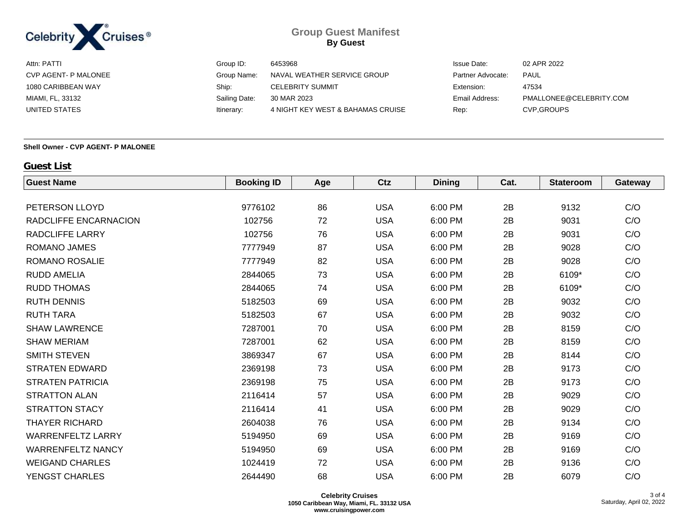

| Attn: PATTI          | Group ID:     | 6453968                           | <b>Issue Date:</b> | 02 APR 2022             |
|----------------------|---------------|-----------------------------------|--------------------|-------------------------|
| CVP AGENT- P MALONEE | Group Name:   | NAVAL WEATHER SERVICE GROUP       | Partner Advocate:  | PAUL                    |
| 1080 CARIBBEAN WAY   | Ship:         | <b>CELEBRITY SUMMIT</b>           | Extension:         | 47534                   |
| MIAMI, FL, 33132     | Sailing Date: | 30 MAR 2023                       | Email Address:     | PMALLONEE@CELEBRITY.COM |
| UNITED STATES        | Itinerary:    | 4 NIGHT KEY WEST & BAHAMAS CRUISE | Rep:               | <b>CVP.GROUPS</b>       |
|                      |               |                                   |                    |                         |

#### **Shell Owner - CVP AGENT- P MALONEE**

## **Guest List**

| <b>Guest Name</b>        | <b>Booking ID</b> | Age | Ctz        | <b>Dining</b> | Cat. | <b>Stateroom</b> | Gateway |
|--------------------------|-------------------|-----|------------|---------------|------|------------------|---------|
|                          |                   |     |            |               |      |                  |         |
| PETERSON LLOYD           | 9776102           | 86  | <b>USA</b> | 6:00 PM       | 2B   | 9132             | C/O     |
| RADCLIFFE ENCARNACION    | 102756            | 72  | <b>USA</b> | 6:00 PM       | 2B   | 9031             | C/O     |
| <b>RADCLIFFE LARRY</b>   | 102756            | 76  | <b>USA</b> | 6:00 PM       | 2B   | 9031             | C/O     |
| <b>ROMANO JAMES</b>      | 7777949           | 87  | <b>USA</b> | 6:00 PM       | 2B   | 9028             | C/O     |
| <b>ROMANO ROSALIE</b>    | 7777949           | 82  | <b>USA</b> | 6:00 PM       | 2B   | 9028             | C/O     |
| <b>RUDD AMELIA</b>       | 2844065           | 73  | <b>USA</b> | 6:00 PM       | 2B   | 6109*            | C/O     |
| <b>RUDD THOMAS</b>       | 2844065           | 74  | <b>USA</b> | 6:00 PM       | 2B   | 6109*            | C/O     |
| <b>RUTH DENNIS</b>       | 5182503           | 69  | <b>USA</b> | 6:00 PM       | 2B   | 9032             | C/O     |
| <b>RUTH TARA</b>         | 5182503           | 67  | <b>USA</b> | 6:00 PM       | 2B   | 9032             | C/O     |
| <b>SHAW LAWRENCE</b>     | 7287001           | 70  | <b>USA</b> | 6:00 PM       | 2B   | 8159             | C/O     |
| <b>SHAW MERIAM</b>       | 7287001           | 62  | <b>USA</b> | 6:00 PM       | 2B   | 8159             | C/O     |
| <b>SMITH STEVEN</b>      | 3869347           | 67  | <b>USA</b> | 6:00 PM       | 2B   | 8144             | C/O     |
| <b>STRATEN EDWARD</b>    | 2369198           | 73  | <b>USA</b> | 6:00 PM       | 2B   | 9173             | C/O     |
| <b>STRATEN PATRICIA</b>  | 2369198           | 75  | <b>USA</b> | 6:00 PM       | 2B   | 9173             | C/O     |
| <b>STRATTON ALAN</b>     | 2116414           | 57  | <b>USA</b> | 6:00 PM       | 2B   | 9029             | C/O     |
| <b>STRATTON STACY</b>    | 2116414           | 41  | <b>USA</b> | 6:00 PM       | 2B   | 9029             | C/O     |
| <b>THAYER RICHARD</b>    | 2604038           | 76  | <b>USA</b> | 6:00 PM       | 2B   | 9134             | C/O     |
| <b>WARRENFELTZ LARRY</b> | 5194950           | 69  | <b>USA</b> | 6:00 PM       | 2B   | 9169             | C/O     |
| <b>WARRENFELTZ NANCY</b> | 5194950           | 69  | <b>USA</b> | 6:00 PM       | 2B   | 9169             | C/O     |
| <b>WEIGAND CHARLES</b>   | 1024419           | 72  | <b>USA</b> | 6:00 PM       | 2B   | 9136             | C/O     |
| <b>YENGST CHARLES</b>    | 2644490           | 68  | <b>USA</b> | 6:00 PM       | 2B   | 6079             | C/O     |